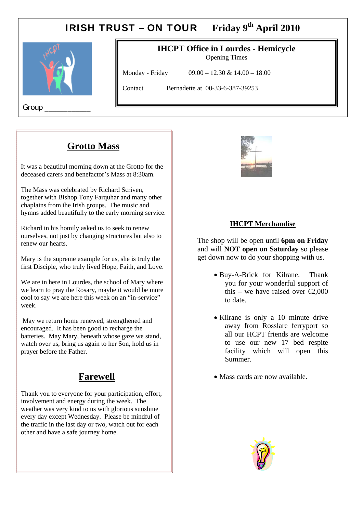# IRISH TRUST – ON TOUR Friday 9<sup>th</sup> April 2010



# **IHCPT Office in Lourdes - Hemicycle**

Opening Times

Monday - Friday 09.00 – 12.30 & 14.00 – 18.00

Contact Bernadette at 00-33-6-387-39253

Group

## **Grotto Mass**

 $\mathbf{r}$ 

It was a beautiful morning down at the Grotto for the deceased carers and benefactor's Mass at 8:30am.

The Mass was celebrated by Richard Scriven, together with Bishop Tony Farquhar and many other chaplains from the Irish groups. The music and hymns added beautifully to the early morning service.

Richard in his homily asked us to seek to renew ourselves, not just by changing structures but also to renew our hearts.

Mary is the supreme example for us, she is truly the first Disciple, who truly lived Hope, Faith, and Love.

We are in here in Lourdes, the school of Mary where we learn to pray the Rosary, maybe it would be more cool to say we are here this week on an "in-service" week.

 May we return home renewed, strengthened and encouraged. It has been good to recharge the batteries. May Mary, beneath whose gaze we stand, watch over us, bring us again to her Son, hold us in prayer before the Father.

### **Farewell**

Thank you to everyone for your participation, effort, involvement and energy during the week. The weather was very kind to us with glorious sunshine every day except Wednesday. Please be mindful of the traffic in the last day or two, watch out for each other and have a safe journey home.



#### **IHCPT Merchandise**

The shop will be open until **6pm on Friday** and will **NOT open on Saturday** so please get down now to do your shopping with us.

- Buy-A-Brick for Kilrane. Thank you for your wonderful support of this – we have raised over  $\epsilon 2.000$ to date.
- Kilrane is only a 10 minute drive away from Rosslare ferryport so all our HCPT friends are welcome to use our new 17 bed respite facility which will open this Summer.
- Mass cards are now available.